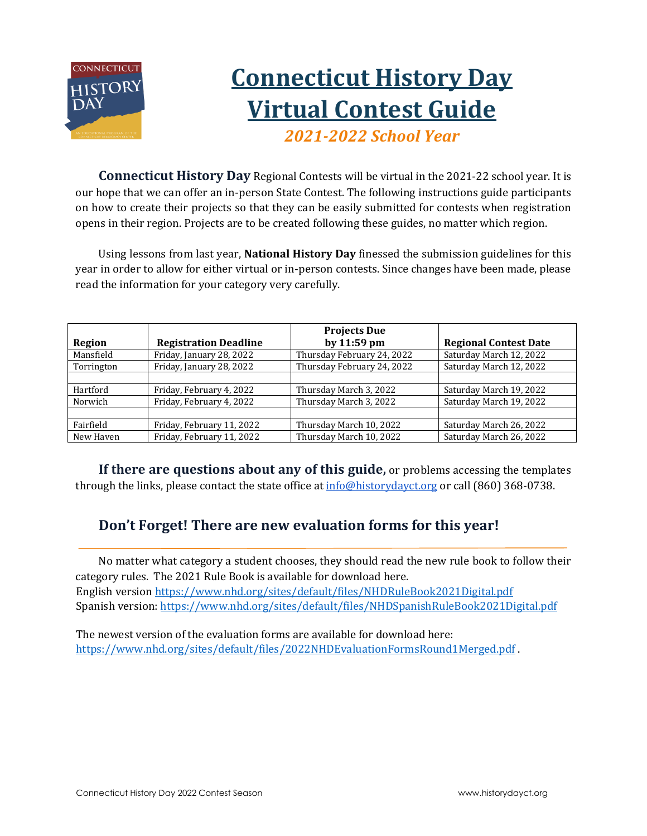

# **Connecticut History Day Virtual Contest Guide** *2021-2022 School Year*

**Connecticut History Day** Regional Contests will be virtual in the 2021-22 school year. It is our hope that we can offer an in-person State Contest. The following instructions guide participants on how to create their projects so that they can be easily submitted for contests when registration opens in their region. Projects are to be created following these guides, no matter which region.

Using lessons from last year, **National History Day** finessed the submission guidelines for this year in order to allow for either virtual or in-person contests. Since changes have been made, please read the information for your category very carefully.

|            |                              | <b>Projects Due</b>        |                              |
|------------|------------------------------|----------------------------|------------------------------|
| Region     | <b>Registration Deadline</b> | by 11:59 pm                | <b>Regional Contest Date</b> |
| Mansfield  | Friday, January 28, 2022     | Thursday February 24, 2022 | Saturday March 12, 2022      |
| Torrington | Friday, January 28, 2022     | Thursday February 24, 2022 | Saturday March 12, 2022      |
|            |                              |                            |                              |
| Hartford   | Friday, February 4, 2022     | Thursday March 3, 2022     | Saturday March 19, 2022      |
| Norwich    | Friday, February 4, 2022     | Thursday March 3, 2022     | Saturday March 19, 2022      |
|            |                              |                            |                              |
| Fairfield  | Friday, February 11, 2022    | Thursday March 10, 2022    | Saturday March 26, 2022      |
| New Haven  | Friday, February 11, 2022    | Thursday March 10, 2022    | Saturday March 26, 2022      |

**If there are questions about any of this guide,** or problems accessing the templates through the links, please contact the state office a[t info@historydayct.org](mailto:info@historydayct.org) or call [\(860\) 368-0738.](https://www.google.com/search?q=ct+history+day&rlz=1C1GCEJ_enUS884US884&oq=ct+history+day&aqs=chrome..69i57j46i175i199j35i39j0j0i22i30j69i60j69i61l2.2231j0j7&sourceid=chrome&ie=UTF-8)

## **Don't Forget! There are new evaluation forms for this year!**

No matter what category a student chooses, they should read the new rule book to follow their category rules. The 2021 Rule Book is available for download here. English version <https://www.nhd.org/sites/default/files/NHDRuleBook2021Digital.pdf> Spanish version: <https://www.nhd.org/sites/default/files/NHDSpanishRuleBook2021Digital.pdf>

The newest version of the evaluation forms are available for download here: <https://www.nhd.org/sites/default/files/2022NHDEvaluationFormsRound1Merged.pdf> .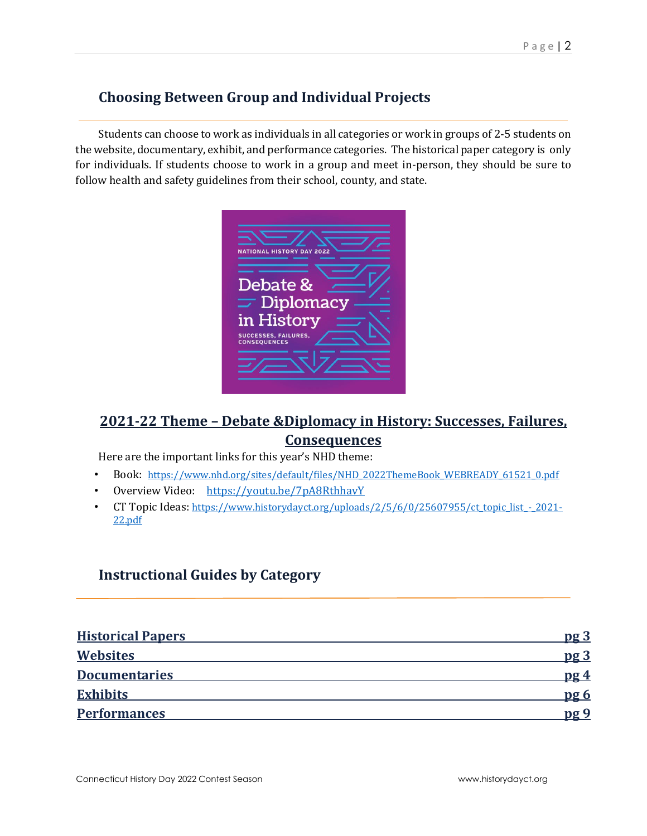## **Choosing Between Group and Individual Projects**

Students can choose to work as individuals in all categories or work in groups of 2-5 students on the website, documentary, exhibit, and performance categories. The historical paper category is only for individuals. If students choose to work in a group and meet in-person, they should be sure to follow health and safety guidelines from their school, county, and state.

| Debate &<br>$\equiv$ Diplomacy | in History<br><b>SUCCESSES, FAILURES,</b><br><b>CONSEQUENCES</b> | <b>NATIONAL HISTORY DAY 2022</b> |  |
|--------------------------------|------------------------------------------------------------------|----------------------------------|--|
|                                |                                                                  |                                  |  |
|                                |                                                                  |                                  |  |

## **2021-22 Theme – Debate &Diplomacy in History: Successes, Failures, Consequences**

Here are the important links for this year's NHD theme:

- Book[:](https://www.nhd.org/sites/default/files/2021%20Theme%20Book%20-.pdf) [https://www.nhd.org/sites/default/files/NHD\\_2022ThemeBook\\_WEBREADY\\_61521\\_0.pdf](https://www.nhd.org/sites/default/files/NHD_2022ThemeBook_WEBREADY_61521_0.pdf)
- Overview Video[:](https://youtu.be/278B5ET8Npg) <https://youtu.be/7pA8RthhavY>
- CT Topic Ideas: https://www.historydayct.org/uploads/2/5/6/0/25607955/ct\_topic\_list 2021-[22.pdf](https://www.historydayct.org/uploads/2/5/6/0/25607955/ct_topic_list_-_2021-22.pdf)

### **Instructional Guides by Category**

| <b>Historical Papers</b> | pg <sub>3</sub> |
|--------------------------|-----------------|
| <b>Websites</b>          | $p\mathbf{g}$ 3 |
| <b>Documentaries</b>     | pg 4            |
| <b>Exhibits</b>          | pg 6            |
| <b>Performances</b>      | nø 9            |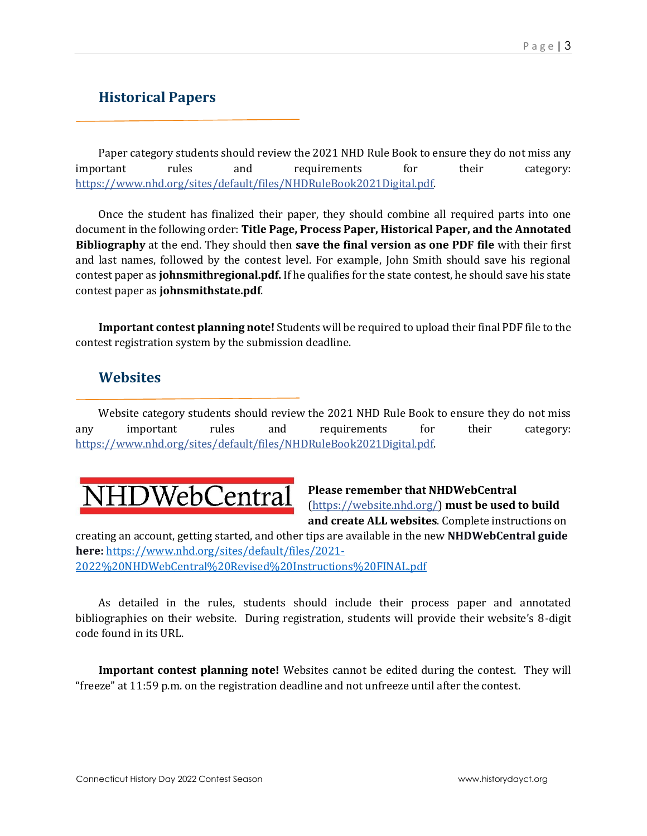## <span id="page-2-0"></span>**Historical Papers**

Paper category students should review the 2021 NHD Rule Book to ensure they do not miss any important rules and requirements for their category: [https://www.nhd.org/sites/default/files/NHDRuleBook2021Digital.pdf.](https://www.nhd.org/sites/default/files/NHDRuleBook2021Digital.pdf)

Once the student has finalized their paper, they should combine all required parts into one document in the following order: **Title Page, Process Paper, Historical Paper, and the Annotated Bibliography** at the end. They should then **save the final version as one PDF file** with their first and last names, followed by the contest level. For example, John Smith should save his regional contest paper as **johnsmithregional.pdf.** If he qualifies for the state contest, he should save his state contest paper as **johnsmithstate.pdf**.

**Important contest planning note!** Students will be required to upload their final PDF file to the contest registration system by the submission deadline.

### **Websites**

<span id="page-2-1"></span>Website category students should review the 2021 NHD Rule Book to ensure they do not miss any important rules and requirements for their category: [https://www.nhd.org/sites/default/files/NHDRuleBook2021Digital.pdf.](https://www.nhd.org/sites/default/files/NHDRuleBook2021Digital.pdf)



**Please remember that NHDWebCentral**  [\(https://website.nhd.org/\)](https://website.nhd.org/) **must be used to build and create ALL websites**. Complete instructions on

creating an account, getting started, and other tips are available in the new **NHDWebCentral guide here:** [https://www.nhd.org/sites/default/files/2021-](https://www.nhd.org/sites/default/files/2021-2022%20NHDWebCentral%20Revised%20Instructions%20FINAL.pdf) [2022%20NHDWebCentral%20Revised%20Instructions%20FINAL.pdf](https://www.nhd.org/sites/default/files/2021-2022%20NHDWebCentral%20Revised%20Instructions%20FINAL.pdf)

As detailed in the rules, students should include their process paper and annotated bibliographies on their website. During registration, students will provide their website's 8-digit code found in its URL.

**Important contest planning note!** Websites cannot be edited during the contest. They will "freeze" at 11:59 p.m. on the registration deadline and not unfreeze until after the contest.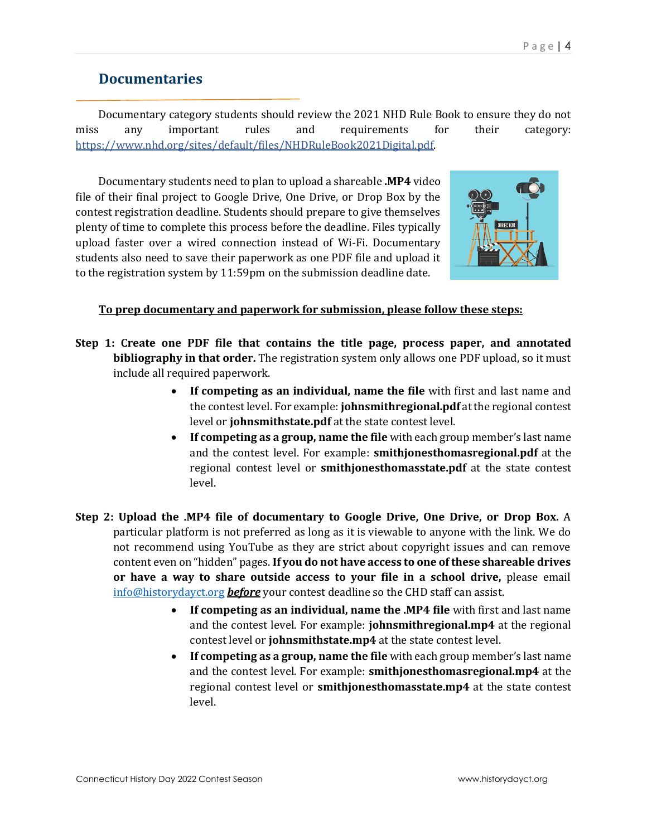## **Documentaries**

<span id="page-3-0"></span>Documentary category students should review the 2021 NHD Rule Book to ensure they do not miss any important rules and requirements for their category: [https://www.nhd.org/sites/default/files/NHDRuleBook2021Digital.pdf.](https://www.nhd.org/sites/default/files/NHDRuleBook2021Digital.pdf) 

Documentary students need to plan to upload a shareable **.MP4** video file of their final project to Google Drive, One Drive, or Drop Box by the contest registration deadline. Students should prepare to give themselves plenty of time to complete this process before the deadline. Files typically upload faster over a wired connection instead of Wi-Fi. Documentary students also need to save their paperwork as one PDF file and upload it to the registration system by 11:59pm on the submission deadline date.



### **To prep documentary and paperwork for submission, please follow these steps:**

- **Step 1: Create one PDF file that contains the title page, process paper, and annotated bibliography in that order.** The registration system only allows one PDF upload, so it must include all required paperwork.
	- **If competing as an individual, name the file** with first and last name and the contest level. For example: **johnsmithregional.pdf** at the regional contest level or **johnsmithstate.pdf** at the state contest level.
	- **If competing as a group, name the file** with each group member's last name and the contest level. For example: **smithjonesthomasregional.pdf** at the regional contest level or **smithjonesthomasstate.pdf** at the state contest level.
- **Step 2: Upload the .MP4 file of documentary to Google Drive, One Drive, or Drop Box.** A particular platform is not preferred as long as it is viewable to anyone with the link. We do not recommend using YouTube as they are strict about copyright issues and can remove content even on "hidden" pages. **If you do not have access to one of these shareable drives or have a way to share outside access to your file in a school drive,** please email [info@historydayct.org](mailto:info@historydayct.org) *before* your contest deadline so the CHD staff can assist.
	- **If competing as an individual, name the .MP4 file** with first and last name and the contest level. For example: **johnsmithregional.mp4** at the regional contest level or **johnsmithstate.mp4** at the state contest level.
	- **If competing as a group, name the file** with each group member's last name and the contest level. For example: **smithjonesthomasregional.mp4** at the regional contest level or **smithjonesthomasstate.mp4** at the state contest level.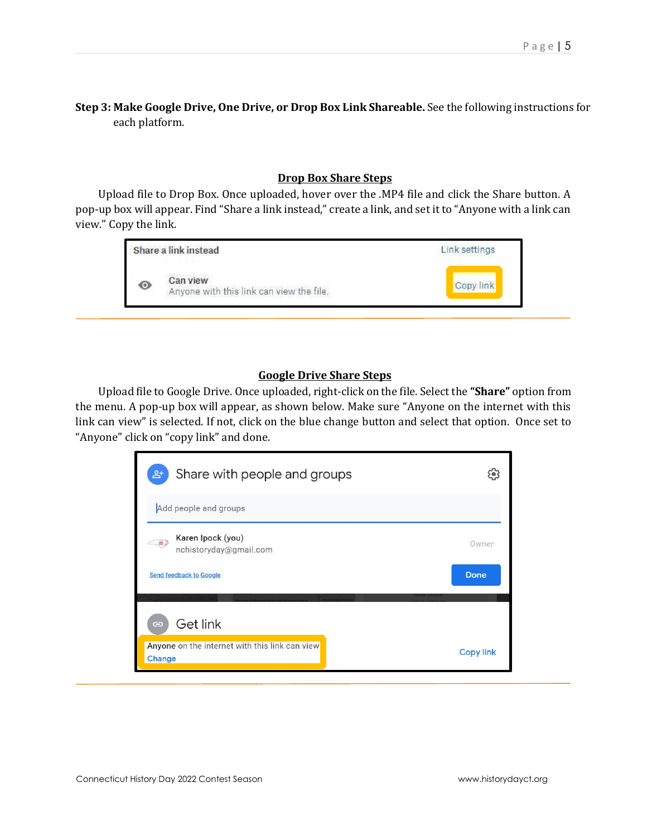### **Step 3: Make Google Drive, One Drive, or Drop Box Link Shareable.** See the following instructions for each platform.

### **Drop Box Share Steps**

Upload file to Drop Box. Once uploaded, hover over the .MP4 file and click the Share button. A pop-up box will appear. Find "Share a link instead," create a link, and set it to "Anyone with a link can view." Copy the link.



### **Google Drive Share Steps**

Upload file to Google Drive. Once uploaded, right-click on the file. Select the **"Share"** option from the menu. A pop-up box will appear, as shown below. Make sure "Anyone on the internet with this link can view" is selected. If not, click on the blue change button and select that option. Once set to "Anyone" click on "copy link" and done.

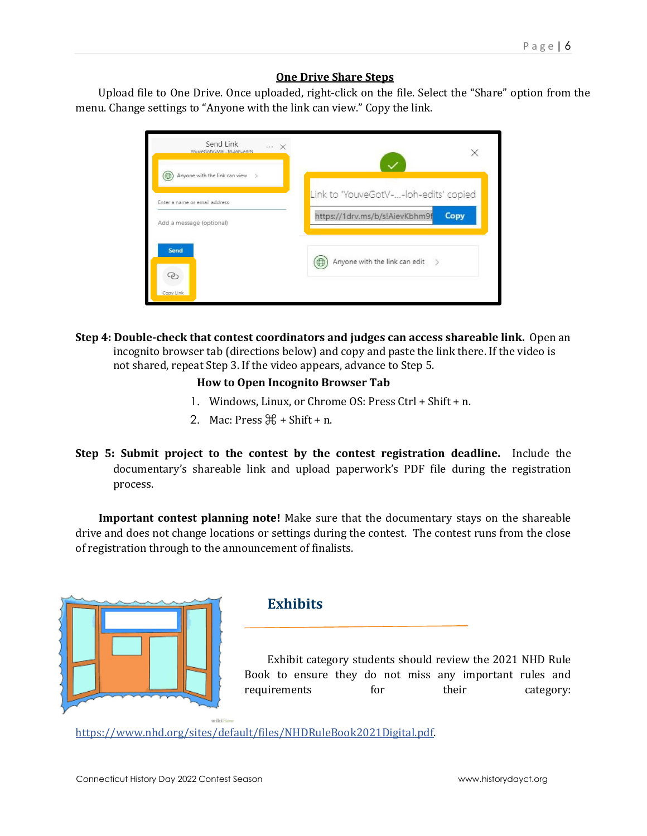### **One Drive Share Steps**

Upload file to One Drive. Once uploaded, right-click on the file. Select the "Share" option from the menu. Change settings to "Anyone with the link can view." Copy the link.

| Send Link<br>$\cdots \times$<br>YouveGotV-Maifd-Joh-edits |                                               |
|-----------------------------------------------------------|-----------------------------------------------|
| Anyone with the link can view<br>$\geq$<br>⊕              |                                               |
| Enter a name or email address                             | Link to 'YouveGotV--loh-edits' copied         |
| Add a message (optional)                                  | https://1drv.ms/b/s!AievKbhm9f<br><b>Copy</b> |
| <b>Send</b>                                               | Anyone with the link can edit >               |
| Copy Link                                                 |                                               |

**Step 4: Double-check that contest coordinators and judges can access shareable link.** Open an incognito browser tab (directions below) and copy and paste the link there. If the video is not shared, repeat Step 3. If the video appears, advance to Step 5.

### **How to Open Incognito Browser Tab**

- 1. Windows, Linux, or Chrome OS: Press Ctrl + Shift + n.
- 2. Mac: Press  $\mathbb{H}$  + Shift + n.
- **Step 5: Submit project to the contest by the contest registration deadline.** Include the documentary's shareable link and upload paperwork's PDF file during the registration process.

**Important contest planning note!** Make sure that the documentary stays on the shareable drive and does not change locations or settings during the contest. The contest runs from the close of registration through to the announcement of finalists.



### <span id="page-5-0"></span>**Exhibits**

Exhibit category students should review the 2021 NHD Rule Book to ensure they do not miss any important rules and requirements for their category:

[https://www.nhd.org/sites/default/files/NHDRuleBook2021Digital.pdf.](https://www.nhd.org/sites/default/files/NHDRuleBook2021Digital.pdf)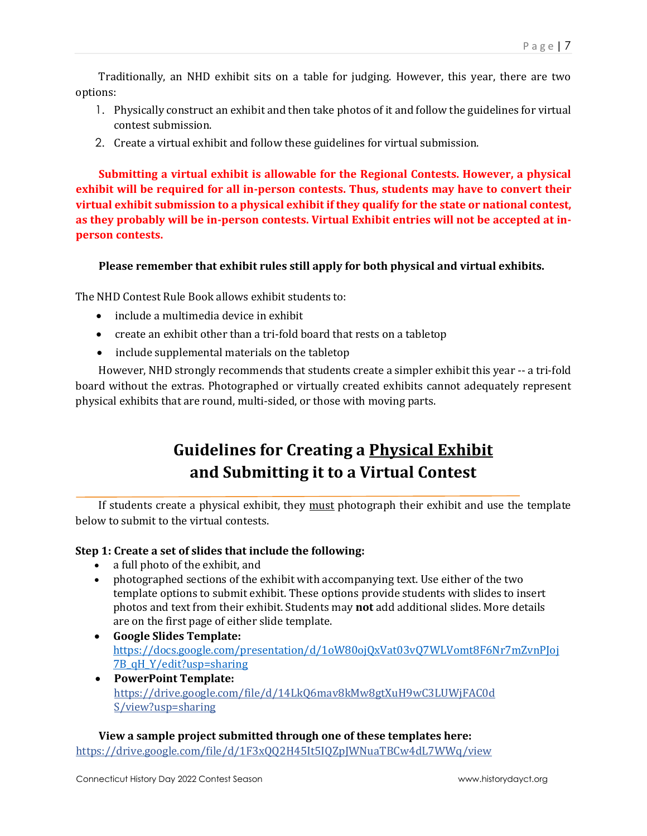Traditionally, an NHD exhibit sits on a table for judging. However, this year, there are two options:

- 1. Physically construct an exhibit and then take photos of it and follow the guidelines for virtual contest submission.
- 2. Create a virtual exhibit and follow these guidelines for virtual submission.

**Submitting a virtual exhibit is allowable for the Regional Contests. However, a physical exhibit will be required for all in-person contests. Thus, students may have to convert their virtual exhibit submission to a physical exhibit if they qualify for the state or national contest, as they probably will be in-person contests. Virtual Exhibit entries will not be accepted at inperson contests.**

**Please remember that exhibit rules still apply for both physical and virtual exhibits.** 

The NHD Contest Rule Book allows exhibit students to:

- include a multimedia device in exhibit
- create an exhibit other than a tri-fold board that rests on a tabletop
- include supplemental materials on the tabletop

However, NHD strongly recommends that students create a simpler exhibit this year -- a tri-fold board without the extras. Photographed or virtually created exhibits cannot adequately represent physical exhibits that are round, multi-sided, or those with moving parts.

## **Guidelines for Creating a Physical Exhibit and Submitting it to a Virtual Contest**

If students create a physical exhibit, they must photograph their exhibit and use the template below to submit to the virtual contests.

### **Step 1: Create a set of slides that include the following:**

- a full photo of the exhibit, and
- photographed sections of the exhibit with accompanying text. Use either of the two template options to submit exhibit. These options provide students with slides to insert photos and text from their exhibit. Students may **not** add additional slides. More details are on the first page of either slide template.
- **Google Slides Template:**  [https://docs.google.com/presentation/d/1oW80ojQxVat03vQ7WLVomt8F6Nr7mZvnPJoj](https://docs.google.com/presentation/d/1oW80ojQxVat03vQ7WLVomt8F6Nr7mZvnPJoj7B_qH_Y/edit?usp=sharing) [7B\\_qH\\_Y/edit?usp=sharing](https://docs.google.com/presentation/d/1oW80ojQxVat03vQ7WLVomt8F6Nr7mZvnPJoj7B_qH_Y/edit?usp=sharing)
- **PowerPoint Template:**  [https://drive.google.com/file/d/14LkQ6mav8kMw8gtXuH9wC3LUWjFAC0d](https://drive.google.com/file/d/14LkQ6mav8kMw8gtXuH9wC3LUWjFAC0dS/view?usp=sharing)  [S/view?usp=sharing](https://drive.google.com/file/d/14LkQ6mav8kMw8gtXuH9wC3LUWjFAC0dS/view?usp=sharing)

**View a sample project submitted through one of these templates here:** <https://drive.google.com/file/d/1F3xQQ2H45It5IQZpJWNuaTBCw4dL7WWq/view>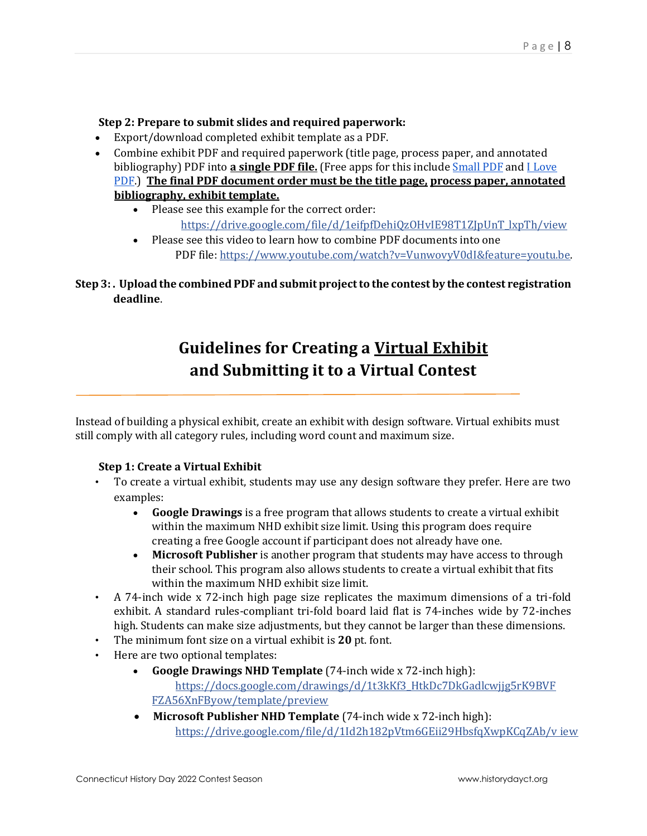### **Step 2: Prepare to submit slides and required paperwork:**

- Export/download completed exhibit template as a PDF.
- Combine exhibit PDF and required paperwork (title page, process paper, and annotated bibliography) PDF into **a single PDF file.** (Free apps for this includ[e Small PDF](https://smallpdf.com/) an[d I Love](https://www.ilovepdf.com/)  [PDF.\)](https://www.ilovepdf.com/) **The final PDF document order must be the title page, process paper, annotated bibliography, exhibit template.** 
	- Please see this example for the correct order: [https://drive.google.com/file/d/1eifpfDehiQzOHvIE98T1ZJpUnT\\_lxpTh/view](https://drive.google.com/file/d/1eifpfDehiQzOHvIE98T1ZJpUnT_lxpTh/view)
	- Please see this video to learn how to combine PDF documents into one PDF file: [https://www.youtube.com/watch?v=VunwovyV0dI&feature=youtu.be.](https://www.youtube.com/watch?v=VunwovyV0dI&feature=youtu.be)

### **Step 3: . Upload the combined PDF and submit project to the contest by the contest registration deadline**.

## **Guidelines for Creating a Virtual Exhibit and Submitting it to a Virtual Contest**

Instead of building a physical exhibit, create an exhibit with design software. Virtual exhibits must still comply with all category rules, including word count and maximum size.

### **Step 1: Create a Virtual Exhibit**

- To create a virtual exhibit, students may use any design software they prefer. Here are two examples:
	- **Google Drawings** is a free program that allows students to create a virtual exhibit within the maximum NHD exhibit size limit. Using this program does require creating a free Google account if participant does not already have one.
	- **Microsoft Publisher** is another program that students may have access to through their school. This program also allows students to create a virtual exhibit that fits within the maximum NHD exhibit size limit.
- A 74-inch wide x 72-inch high page size replicates the maximum dimensions of a tri-fold exhibit. A standard rules-compliant tri-fold board laid flat is 74-inches wide by 72-inches high. Students can make size adjustments, but they cannot be larger than these dimensions.
- The minimum font size on a virtual exhibit is **20** pt. font.
- Here are two optional templates:
	- **Google Drawings NHD Template** (74-inch wide x 72-inch high): [https://docs.google.com/drawings/d/1t3kKf3\\_HtkDc7DkGadlcwjjg5rK9BVF](https://docs.google.com/drawings/d/1t3kKf3_HtkDc7DkGadlcwjjg5rK9BVFFZA56XnFByow/template/preview) [FZA56XnFByow/template/preview](https://docs.google.com/drawings/d/1t3kKf3_HtkDc7DkGadlcwjjg5rK9BVFFZA56XnFByow/template/preview)
	- **Microsoft Publisher NHD Template** (74-inch wide x 72-inch high): [https://drive.google.com/file/d/1Id2h182pVtm6GEii29HbsfqXwpKCqZAb/v iew](https://drive.google.com/file/d/1Id2h182pVtm6GEii29HbsfqXwpKCqZAb/view)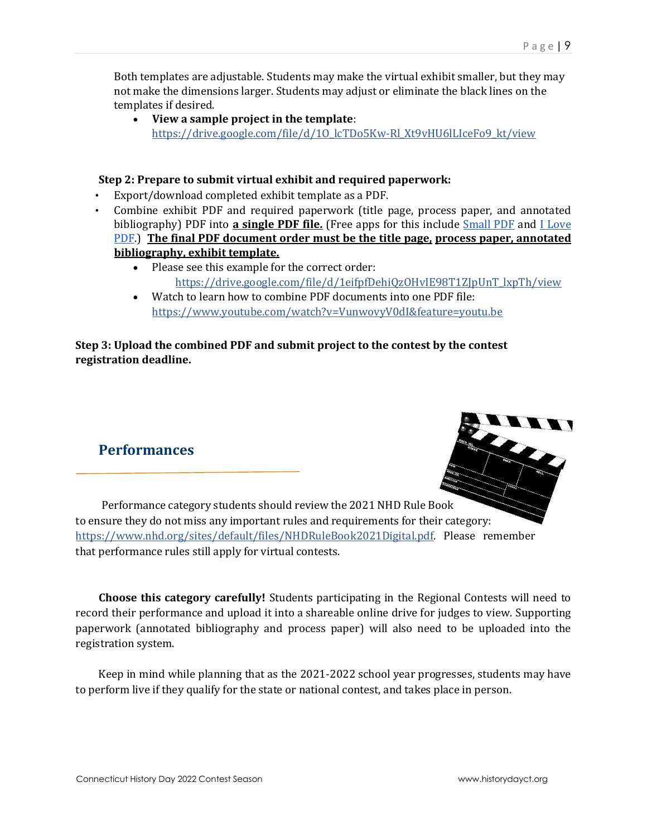Both templates are adjustable. Students may make the virtual exhibit smaller, but they may not make the dimensions larger. Students may adjust or eliminate the black lines on the templates if desired.

• **View a sample project in the template**: [https://drive.google.com/file/d/1O\\_lcTDo5Kw-Rl\\_Xt9vHU6lLIceFo9\\_kt/view](https://drive.google.com/file/d/1O_lcTDo5Kw-Rl_Xt9vHU6lLIceFo9_kt/view)

### **Step 2: Prepare to submit virtual exhibit and required paperwork:**

- Export/download completed exhibit template as a PDF.
- Combine exhibit PDF and required paperwork (title page, process paper, and annotated bibliography) PDF into **a single PDF file.** (Free apps for this include [Small PDF](https://smallpdf.com/) [a](https://smallpdf.com/)nd [I Love](https://www.ilovepdf.com/)  [PDF.\)](https://www.ilovepdf.com/) **The final PDF document order must be the title page, process paper, annotated bibliography, exhibit template.** 
	- Please see this example for the correct order: [https://drive.google.com/file/d/1eifpfDehiQzOHvIE98T1ZJpUnT\\_lxpTh/view](https://drive.google.com/file/d/1eifpfDehiQzOHvIE98T1ZJpUnT_lxpTh/view)
	- Watch to learn how to combine PDF documents into one PDF file: <https://www.youtube.com/watch?v=VunwovyV0dI&feature=youtu.be>

### <span id="page-8-0"></span>**Step 3: Upload the combined PDF and submit project to the contest by the contest registration deadline.**

### **Performances**



Performance category students should review the 2021 NHD Rule Book to ensure they do not miss any important rules and requirements for their category: [https://www.nhd.org/sites/default/files/NHDRuleBook2021Digital.pdf.](https://www.nhd.org/sites/default/files/NHDRuleBook2021Digital.pdf) Please remember that performance rules still apply for virtual contests.

**Choose this category carefully!** Students participating in the Regional Contests will need to record their performance and upload it into a shareable online drive for judges to view. Supporting paperwork (annotated bibliography and process paper) will also need to be uploaded into the registration system.

Keep in mind while planning that as the 2021-2022 school year progresses, students may have to perform live if they qualify for the state or national contest, and takes place in person.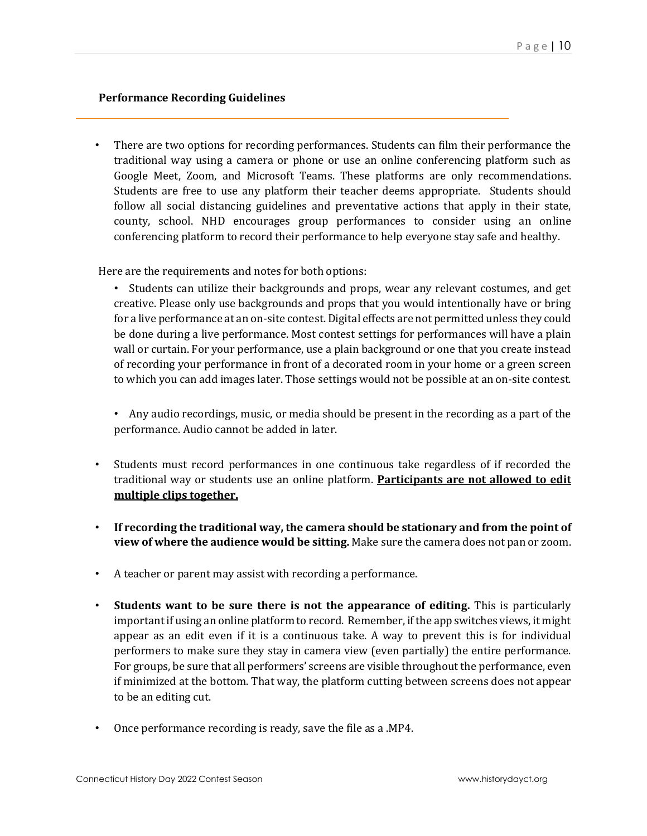### **Performance Recording Guidelines**

• There are two options for recording performances. Students can film their performance the traditional way using a camera or phone or use an online conferencing platform such as Google Meet, Zoom, and Microsoft Teams. These platforms are only recommendations. Students are free to use any platform their teacher deems appropriate. Students should follow all social distancing guidelines and preventative actions that apply in their state, county, school. NHD encourages group performances to consider using an online conferencing platform to record their performance to help everyone stay safe and healthy.

Here are the requirements and notes for both options:

• Students can utilize their backgrounds and props, wear any relevant costumes, and get creative. Please only use backgrounds and props that you would intentionally have or bring for a live performance at an on-site contest. Digital effects are not permitted unless they could be done during a live performance. Most contest settings for performances will have a plain wall or curtain. For your performance, use a plain background or one that you create instead of recording your performance in front of a decorated room in your home or a green screen to which you can add images later. Those settings would not be possible at an on-site contest.

• Any audio recordings, music, or media should be present in the recording as a part of the performance. Audio cannot be added in later.

- Students must record performances in one continuous take regardless of if recorded the traditional way or students use an online platform. **Participants are not allowed to edit multiple clips together.**
- **If recording the traditional way, the camera should be stationary and from the point of view of where the audience would be sitting.** Make sure the camera does not pan or zoom.
- A teacher or parent may assist with recording a performance.
- **Students want to be sure there is not the appearance of editing.** This is particularly important if using an online platform to record. Remember, if the app switches views, it might appear as an edit even if it is a continuous take. A way to prevent this is for individual performers to make sure they stay in camera view (even partially) the entire performance. For groups, be sure that all performers' screens are visible throughout the performance, even if minimized at the bottom. That way, the platform cutting between screens does not appear to be an editing cut.
- Once performance recording is ready, save the file as a .MP4.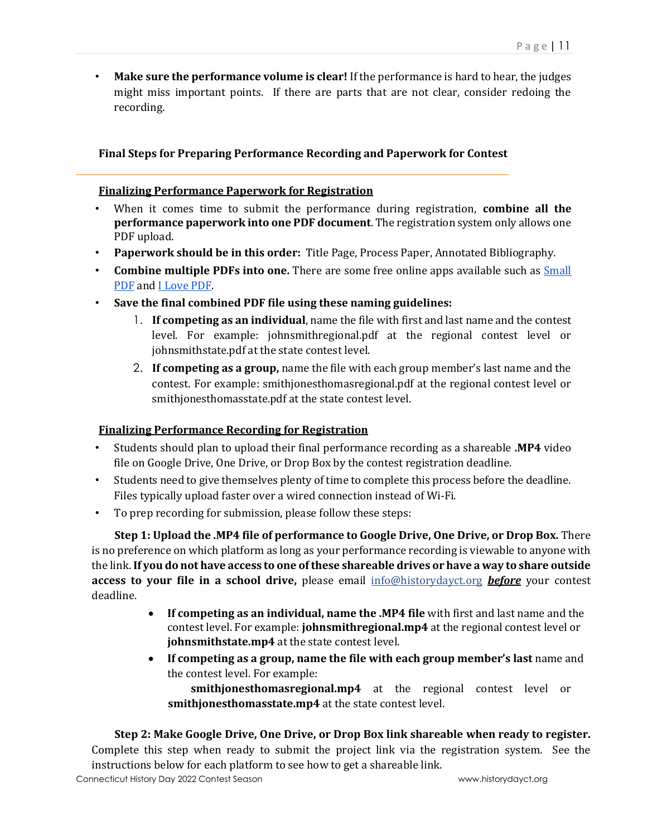• **Make sure the performance volume is clear!** If the performance is hard to hear, the judges might miss important points. If there are parts that are not clear, consider redoing the recording.

### **Final Steps for Preparing Performance Recording and Paperwork for Contest**

### **Finalizing Performance Paperwork for Registration**

- When it comes time to submit the performance during registration, **combine all the performance paperwork into one PDF document**. The registration system only allows one PDF upload.
- **Paperwork should be in this order:** Title Page, Process Paper, Annotated Bibliography.
- **Combine multiple PDFs into one.** There are some free online apps available such as [Small](https://smallpdf.com/)  [PDF](https://smallpdf.com/) and [I Love PDF.](https://www.ilovepdf.com/)
- **Save the final combined PDF file using these naming guidelines:** 
	- 1. **If competing as an individual**, name the file with first and last name and the contest level. For example: johnsmithregional.pdf at the regional contest level or johnsmithstate.pdf at the state contest level.
	- 2. **If competing as a group,** name the file with each group member's last name and the contest. For example: smithjonesthomasregional.pdf at the regional contest level or smithjonesthomasstate.pdf at the state contest level.

### **Finalizing Performance Recording for Registration**

- Students should plan to upload their final performance recording as a shareable **.MP4** video file on Google Drive, One Drive, or Drop Box by the contest registration deadline.
- Students need to give themselves plenty of time to complete this process before the deadline. Files typically upload faster over a wired connection instead of Wi-Fi.
- To prep recording for submission, please follow these steps:

**Step 1: Upload the .MP4 file of performance to Google Drive, One Drive, or Drop Box.** There is no preference on which platform as long as your performance recording is viewable to anyone with the link. **If you do not have access to one of these shareable drives or have a way to share outside access to your file in a school drive,** please email info@historydayct.org *before* your contest deadline.

- **If competing as an individual, name the .MP4 file** with first and last name and the contest level. For example: **johnsmithregional.mp4** at the regional contest level or **johnsmithstate.mp4** at the state contest level.
- **If competing as a group, name the file with each group member's last** name and the contest level. For example:

**smithjonesthomasregional.mp4** at the regional contest level or **smithjonesthomasstate.mp4** at the state contest level.

### **Step 2: Make Google Drive, One Drive, or Drop Box link shareable when ready to register.**

Complete this step when ready to submit the project link via the registration system. See the instructions below for each platform to see how to get a shareable link.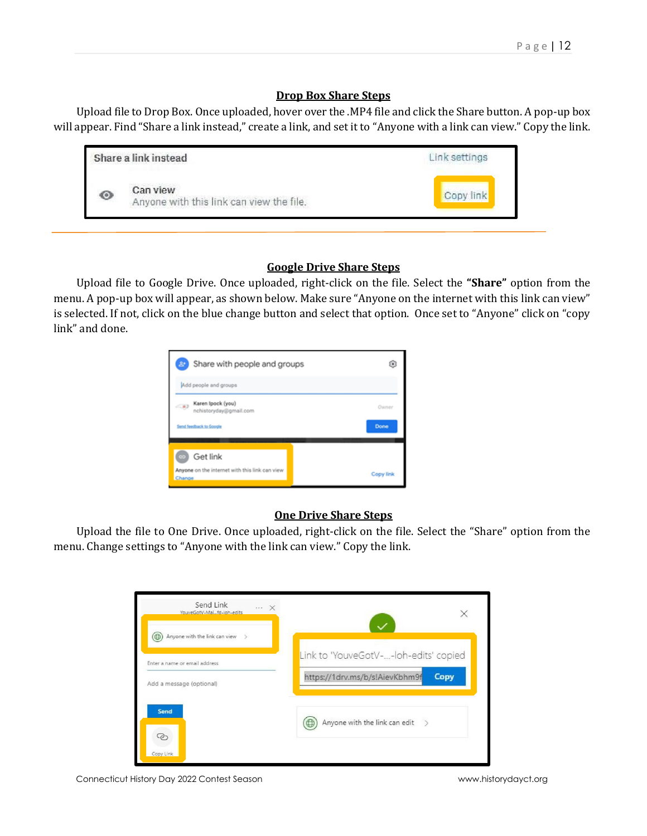### **Drop Box Share Steps**

Upload file to Drop Box. Once uploaded, hover over the .MP4 file and click the Share button. A pop-up box will appear. Find "Share a link instead," create a link, and set it to "Anyone with a link can view." Copy the link.

|             | Share a link instead                                 | Link settings |
|-------------|------------------------------------------------------|---------------|
| <b>Kell</b> | Can view<br>Anyone with this link can view the file. | Copy link     |

### **Google Drive Share Steps**

Upload file to Google Drive. Once uploaded, right-click on the file. Select the **"Share"** option from the menu. A pop-up box will appear, as shown below. Make sure "Anyone on the internet with this link can view" is selected. If not, click on the blue change button and select that option. Once set to "Anyone" click on "copy link" and done.



### **One Drive Share Steps**

Upload the file to One Drive. Once uploaded, right-click on the file. Select the "Share" option from the menu. Change settings to "Anyone with the link can view." Copy the link.

| Send Link<br>$\cdots \times$<br>YouveGotV-Maifd-loh-edits | ×                                                   |
|-----------------------------------------------------------|-----------------------------------------------------|
| Anyone with the link can view<br>0<br>$\geq$              |                                                     |
| Enter a name or email address                             | Link to 'YouveGotV--loh-edits' copied               |
| Add a message (optional)                                  | https://1drv.ms/b/s!AievKbhm9f<br>Copy              |
| Send                                                      | Anyone with the link can edit<br>$\rightarrow$<br>Φ |
| ලා<br>Copy Link                                           |                                                     |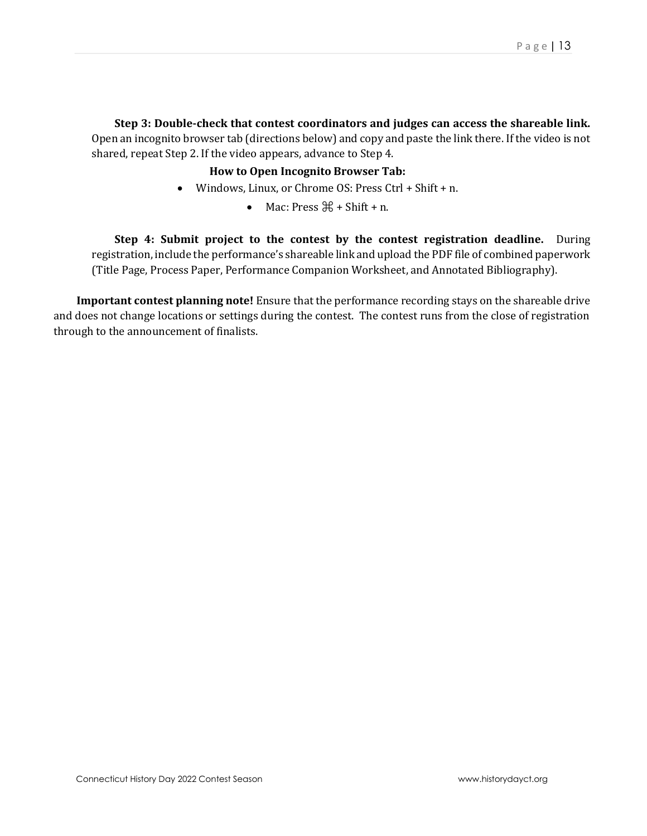### **Step 3: Double-check that contest coordinators and judges can access the shareable link.**

Open an incognito browser tab (directions below) and copy and paste the link there. If the video is not shared, repeat Step 2. If the video appears, advance to Step 4.

### **How to Open Incognito Browser Tab:**

- Windows, Linux, or Chrome OS: Press Ctrl + Shift + n.
	- Mac: Press  $\mathcal{H}$  + Shift + n.

**Step 4: Submit project to the contest by the contest registration deadline.** During registration, include the performance's shareable link and upload the PDF file of combined paperwork (Title Page, Process Paper, Performance Companion Worksheet, and Annotated Bibliography).

**Important contest planning note!** Ensure that the performance recording stays on the shareable drive and does not change locations or settings during the contest. The contest runs from the close of registration through to the announcement of finalists.